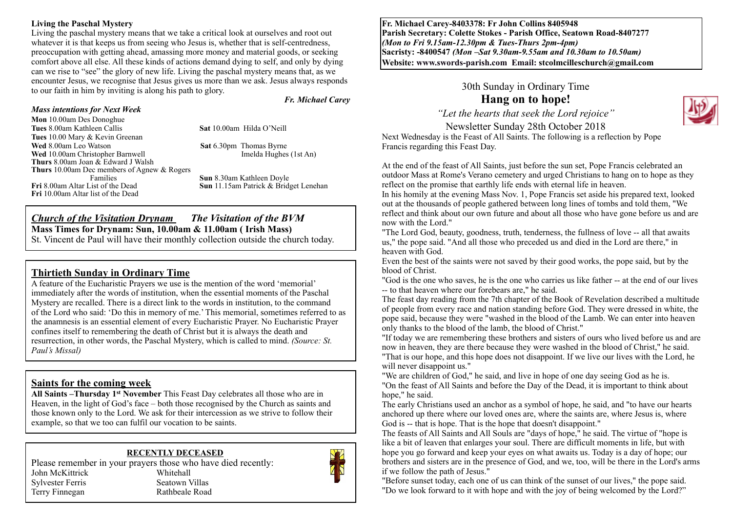#### **Living the Paschal Mystery**

Living the paschal mystery means that we take a critical look at ourselves and root out whatever it is that keeps us from seeing who Jesus is, whether that is self-centredness, preoccupation with getting ahead, amassing more money and material goods, or seeking comfort above all else. All these kinds of actions demand dying to self, and only by dying can we rise to "see" the glory of new life. Living the paschal mystery means that, as we encounter Jesus, we recognise that Jesus gives us more than we ask. Jesus always responds to our faith in him by inviting is along his path to glory.

*Fr. Michael Carey*

#### *Mass intentions for Next Week*  **Mon** 10.00am Des Donoghue

**Tues** 10.00 Mary & Kevin Greenan

**Tues** 8.00am Kathleen Callis **Sat** 10.00am Hilda O'Neill

**Wed** 8.00am Leo Watson **Sat 6.30pm** Thomas Byrne

**Wed** 10.00am Christopher Barnwell **Imelda Hughes (1st An) Thurs** 8.00am Joan & Edward J Walsh **Thurs** 10.00am Dec members of Agnew & Rogers Families **Sun 8.30am Kathleen Doyle**<br>**Fri 8.00am Altar** List of the Dead **Sun 11.15am Patrick & Brids Fri** 10.00am Altar list of the Dead

**Sun** 11.15am Patrick & Bridget Lenehan

#### *Church of the Visitation Drynam**The Visitation of the BVM* **Mass Times for Drynam: Sun, 10.00am & 11.00am ( Irish Mass)**  St. Vincent de Paul will have their monthly collection outside the church today.

## **Thirtieth Sunday in Ordinary Time**

A feature of the Eucharistic Prayers we use is the mention of the word 'memorial' immediately after the words of institution, when the essential moments of the Paschal Mystery are recalled. There is a direct link to the words in institution, to the command of the Lord who said: 'Do this in memory of me.' This memorial, sometimes referred to as the anamnesis is an essential element of every Eucharistic Prayer. No Eucharistic Prayer confines itself to remembering the death of Christ but it is always the death and resurrection, in other words, the Paschal Mystery, which is called to mind. *(Source: St. Paul's Missal)*

#### **Saints for the coming week**

**All Saints –Thursday 1st November** This Feast Day celebrates all those who are in Heaven, in the light of God's face – both those recognised by the Church as saints and those known only to the Lord. We ask for their intercession as we strive to follow their example, so that we too can fulfil our vocation to be saints.

#### **RECENTLY DECEASED**

Please remember in your prayers those who have died recently: John McKittrick Whitehall Sylvester Ferris Seatown Villas Terry Finnegan Rathbeale Road



**Fr. Michael Carey-8403378: Fr John Collins 8405948 Parish Secretary: Colette Stokes - Parish Office, Seatown Road-8407277**  *(Mon to Fri 9.15am-12.30pm & Tues-Thurs 2pm-4pm)*  **Sacristy: -8400547** *(Mon –Sat 9.30am-9.55am and 10.30am to 10.50am)* **Website: [www.swords-parish.com Email:](http://www.swords-parish.com%20%20email) stcolmcilleschurch@gmail.com**

30th Sunday in Ordinary Time

# **Hang on to hope!**

*"Let the hearts that seek the Lord rejoice"*  Newsletter Sunday 28th October 2018

Next Wednesday is the Feast of All Saints. The following is a reflection by Pope Francis regarding this Feast Day.

At the end of the feast of All Saints, just before the sun set, Pope Francis celebrated an outdoor Mass at Rome's Verano cemetery and urged Christians to hang on to hope as they reflect on the promise that earthly life ends with eternal life in heaven.

In his homily at the evening Mass Nov. 1, Pope Francis set aside his prepared text, looked out at the thousands of people gathered between long lines of tombs and told them, "We reflect and think about our own future and about all those who have gone before us and are now with the Lord."

"The Lord God, beauty, goodness, truth, tenderness, the fullness of love -- all that awaits us," the pope said. "And all those who preceded us and died in the Lord are there," in heaven with God.

Even the best of the saints were not saved by their good works, the pope said, but by the blood of Christ.

"God is the one who saves, he is the one who carries us like father -- at the end of our lives -- to that heaven where our forebears are," he said.

The feast day reading from the 7th chapter of the Book of Revelation described a multitude of people from every race and nation standing before God. They were dressed in white, the pope said, because they were "washed in the blood of the Lamb. We can enter into heaven only thanks to the blood of the lamb, the blood of Christ."

"If today we are remembering these brothers and sisters of ours who lived before us and are now in heaven, they are there because they were washed in the blood of Christ," he said. "That is our hope, and this hope does not disappoint. If we live our lives with the Lord, he will never disappoint us."

"We are children of God," he said, and live in hope of one day seeing God as he is. "On the feast of All Saints and before the Day of the Dead, it is important to think about hope," he said.

The early Christians used an anchor as a symbol of hope, he said, and "to have our hearts anchored up there where our loved ones are, where the saints are, where Jesus is, where God is -- that is hope. That is the hope that doesn't disappoint."

The feasts of All Saints and All Souls are "days of hope," he said. The virtue of "hope is like a bit of leaven that enlarges your soul. There are difficult moments in life, but with hope you go forward and keep your eyes on what awaits us. Today is a day of hope; our brothers and sisters are in the presence of God, and we, too, will be there in the Lord's arms if we follow the path of Jesus."

"Before sunset today, each one of us can think of the sunset of our lives," the pope said. "Do we look forward to it with hope and with the joy of being welcomed by the Lord?"